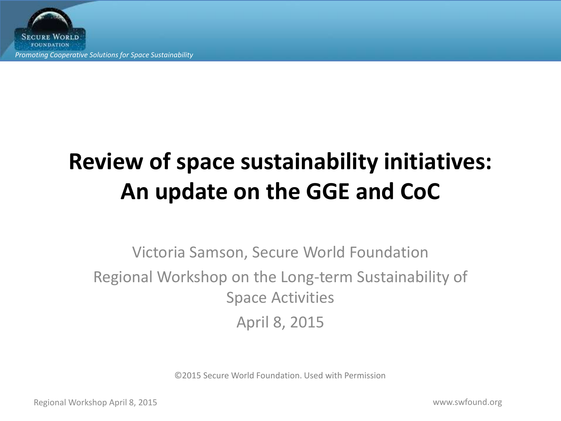**SECURE WORLD FOUNDATION** *Promoting Cooperative Solutions for Space Sustainability*

# **Review of space sustainability initiatives: An update on the GGE and CoC**

Victoria Samson, Secure World Foundation Regional Workshop on the Long-term Sustainability of Space Activities April 8, 2015

©2015 Secure World Foundation. Used with Permission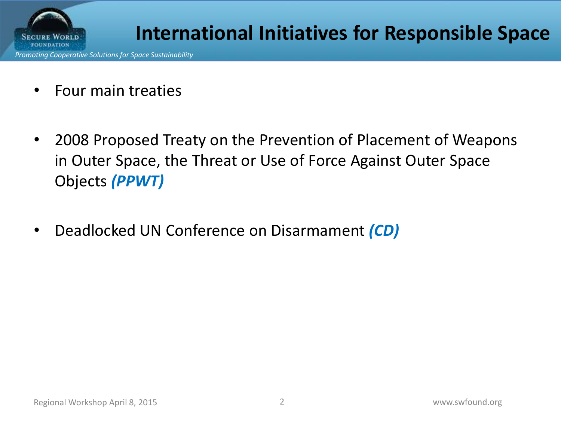

*Promoting Cooperative Solutions for Space Sustainability*

- Four main treaties
- 2008 Proposed Treaty on the Prevention of Placement of Weapons in Outer Space, the Threat or Use of Force Against Outer Space Objects *(PPWT)*
- Deadlocked UN Conference on Disarmament *(CD)*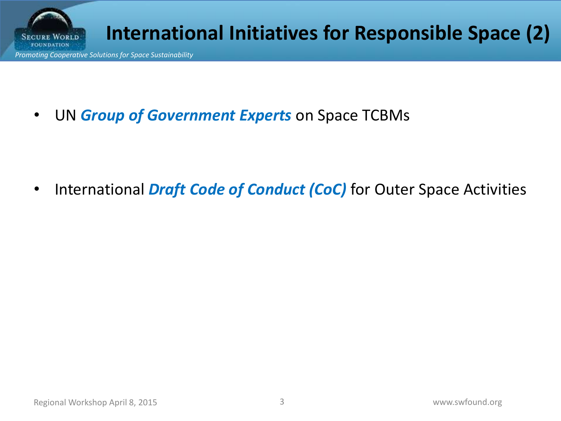

• UN *Group of Government Experts* on Space TCBMs

• International *Draft Code of Conduct (CoC)* for Outer Space Activities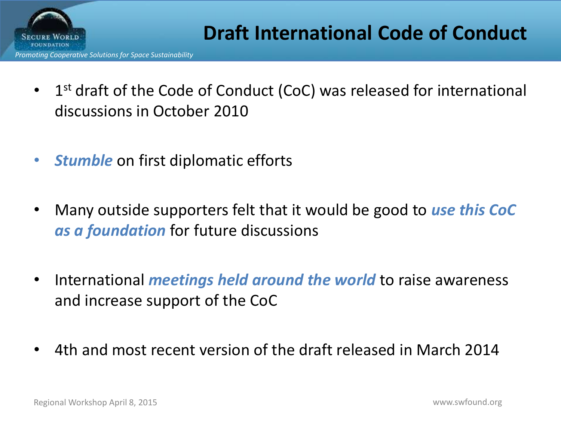

- 1<sup>st</sup> draft of the Code of Conduct (CoC) was released for international discussions in October 2010
- *Stumble* on first diplomatic efforts
- Many outside supporters felt that it would be good to *use this CoC as a foundation* for future discussions
- International *meetings held around the world* to raise awareness and increase support of the CoC
- 4th and most recent version of the draft released in March 2014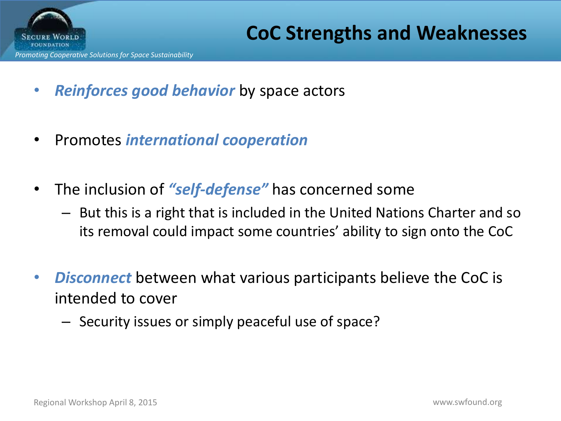

- *Reinforces good behavior* by space actors
- Promotes *international cooperation*
- The inclusion of *"self-defense"* has concerned some
	- But this is a right that is included in the United Nations Charter and so its removal could impact some countries' ability to sign onto the CoC
- *Disconnect* between what various participants believe the CoC is intended to cover
	- Security issues or simply peaceful use of space?